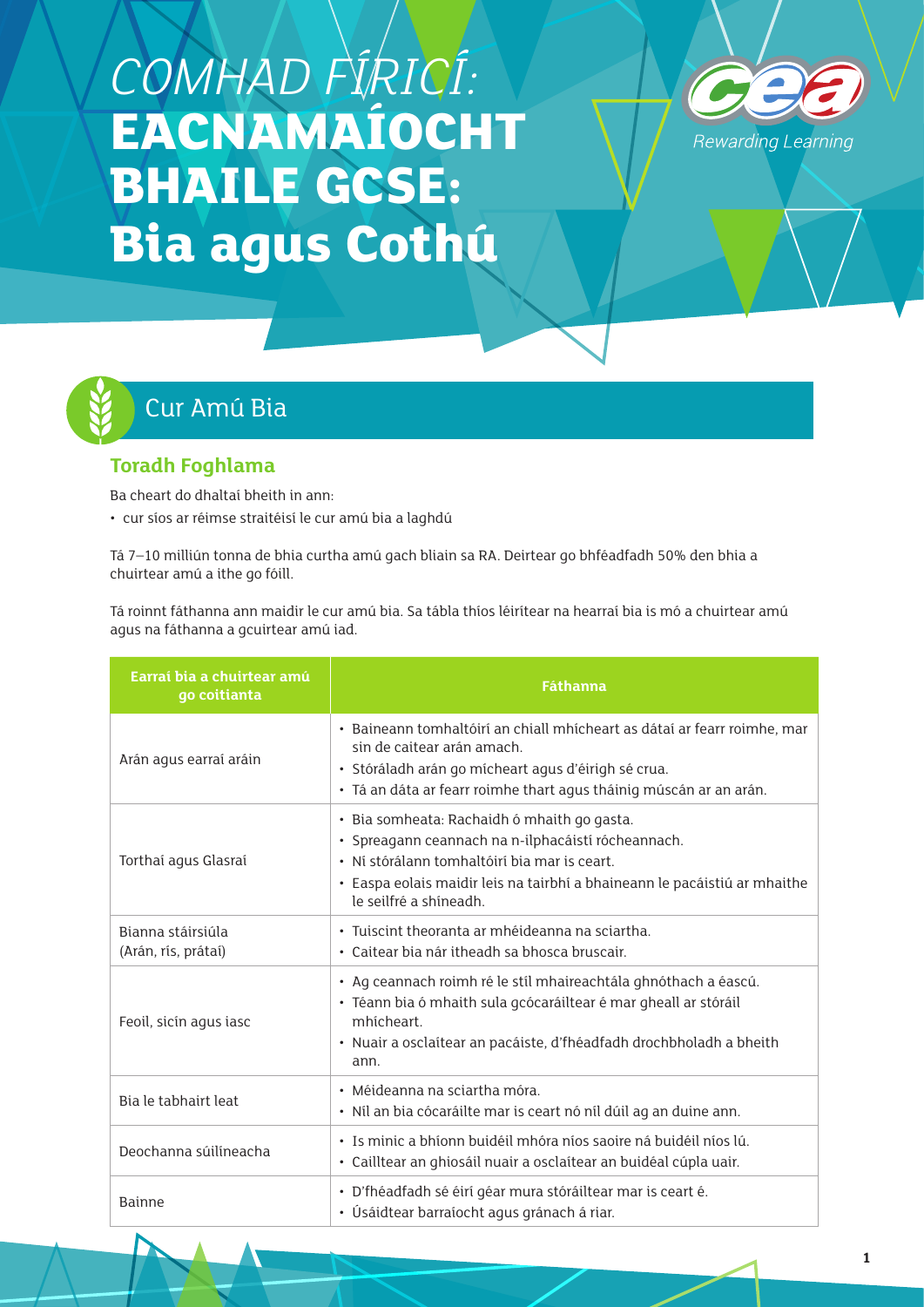# *COMHAD FÍRICÍ:*  **EACNAMAÍOCHT BHAILE GCSE: Bia agus Cothú**





# Cur Amú Bia

# **Toradh Foghlama**

Ba cheart do dhaltaí bheith in ann:

• cur síos ar réimse straitéisí le cur amú bia a laghdú

Tá 7–10 milliún tonna de bhia curtha amú gach bliain sa RA. Deirtear go bhféadfadh 50% den bhia a chuirtear amú a ithe go fóill.

Tá roinnt fáthanna ann maidir le cur amú bia. Sa tábla thíos léirítear na hearraí bia is mó a chuirtear amú agus na fáthanna a gcuirtear amú iad.

| Earraí bia a chuirtear amú<br>go coitianta | <b>Fáthanna</b>                                                                                                                                                                                                                                          |
|--------------------------------------------|----------------------------------------------------------------------------------------------------------------------------------------------------------------------------------------------------------------------------------------------------------|
| Arán agus earraí aráin                     | · Baineann tomhaltóirí an chiall mhícheart as dátaí ar fearr roimhe, mar<br>sin de caitear arán amach.<br>· Stóráladh arán go mícheart agus d'éirigh sé crua.<br>· Tá an dáta ar fearr roimhe thart agus tháinig múscán ar an arán.                      |
| Torthai agus Glasrai                       | · Bia somheata: Rachaidh ó mhaith go gasta.<br>· Spreagann ceannach na n-ilphacáistí rócheannach.<br>· Ní stórálann tomhaltóirí bia mar is ceart.<br>· Easpa eolais maidir leis na tairbhí a bhaineann le pacáistiú ar mhaithe<br>le seilfré a shíneadh. |
| Bianna stáirsiúla<br>(Arán, rís, prátaí)   | · Tuiscint theoranta ar mhéideanna na sciartha.<br>• Caitear bia nár itheadh sa bhosca bruscair.                                                                                                                                                         |
| Feoil, sicín agus iasc                     | · Ag ceannach roimh ré le stíl mhaireachtála ghnóthach a éascú.<br>· Téann bia ó mhaith sula gcócaráiltear é mar gheall ar stóráil<br>mhícheart.<br>· Nuair a osclaítear an pacáiste, d'fhéadfadh drochbholadh a bheith<br>ann.                          |
| Bia le tabhairt leat                       | · Méideanna na sciartha móra.<br>· Níl an bia cócaráilte mar is ceart nó níl dúil ag an duine ann.                                                                                                                                                       |
| Deochanna súilíneacha                      | · Is minic a bhíonn buidéil mhóra níos saoire ná buidéil níos lú.<br>· Cailltear an ghiosáil nuair a osclaítear an buidéal cúpla uair.                                                                                                                   |
| <b>Bainne</b>                              | · D'fhéadfadh sé éirí géar mura stóráiltear mar is ceart é.<br>· Úsáidtear barraíocht agus gránach á riar.                                                                                                                                               |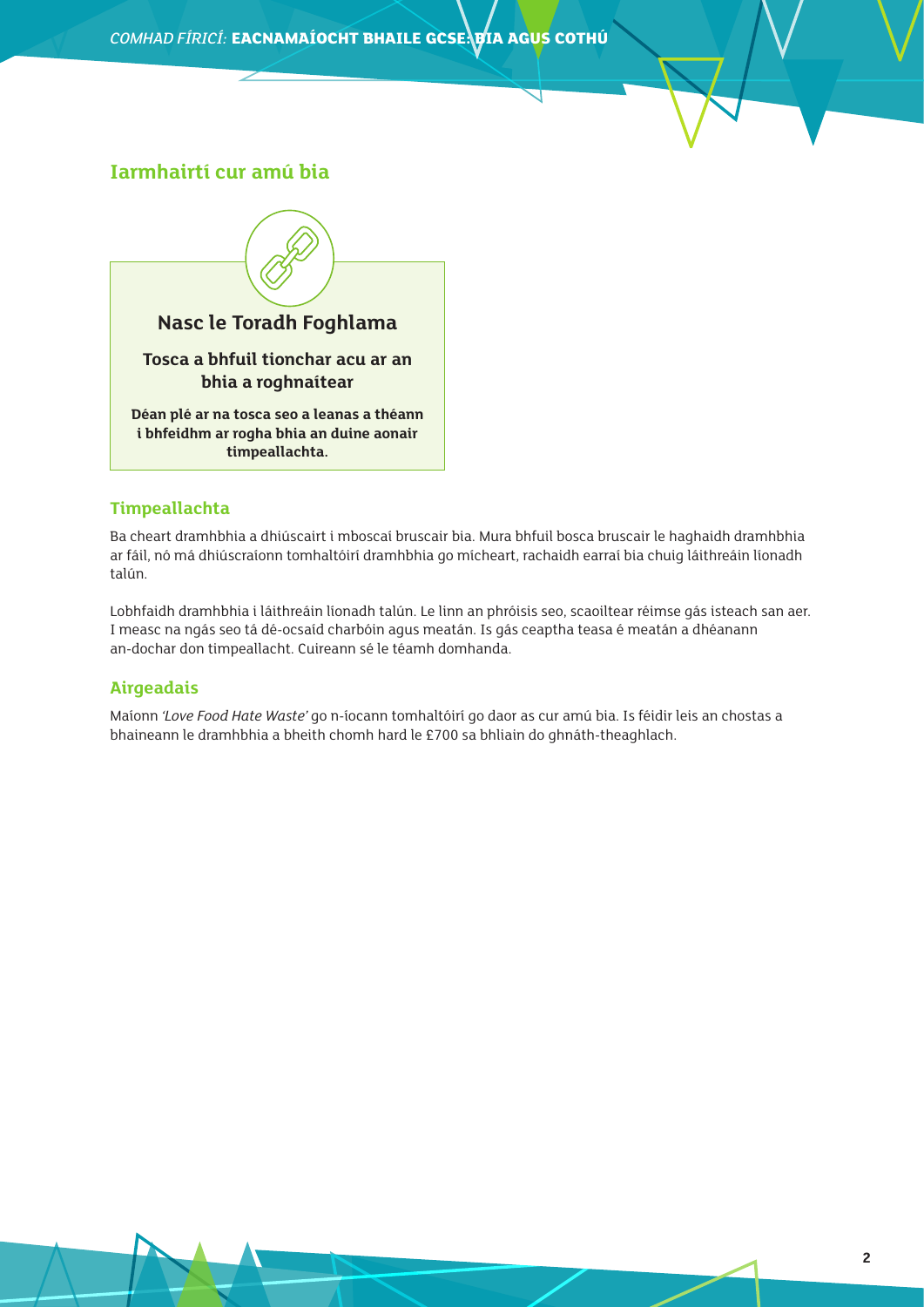### **Iarmhairtí cur amú bia**



#### **Timpeallachta**

Ba cheart dramhbhia a dhiúscairt i mboscaí bruscair bia. Mura bhfuil bosca bruscair le haghaidh dramhbhia ar fáil, nó má dhiúscraíonn tomhaltóirí dramhbhia go mícheart, rachaidh earraí bia chuig láithreáin líonadh talún.

Lobhfaidh dramhbhia i láithreáin líonadh talún. Le linn an phróisis seo, scaoiltear réimse gás isteach san aer. I measc na ngás seo tá dé-ocsaíd charbóin agus meatán. Is gás ceaptha teasa é meatán a dhéanann an-dochar don timpeallacht. Cuireann sé le téamh domhanda.

#### **Airgeadais**

Maíonn *'Love Food Hate Waste'* go n-íocann tomhaltóirí go daor as cur amú bia. Is féidir leis an chostas a bhaineann le dramhbhia a bheith chomh hard le £700 sa bhliain do ghnáth-theaghlach.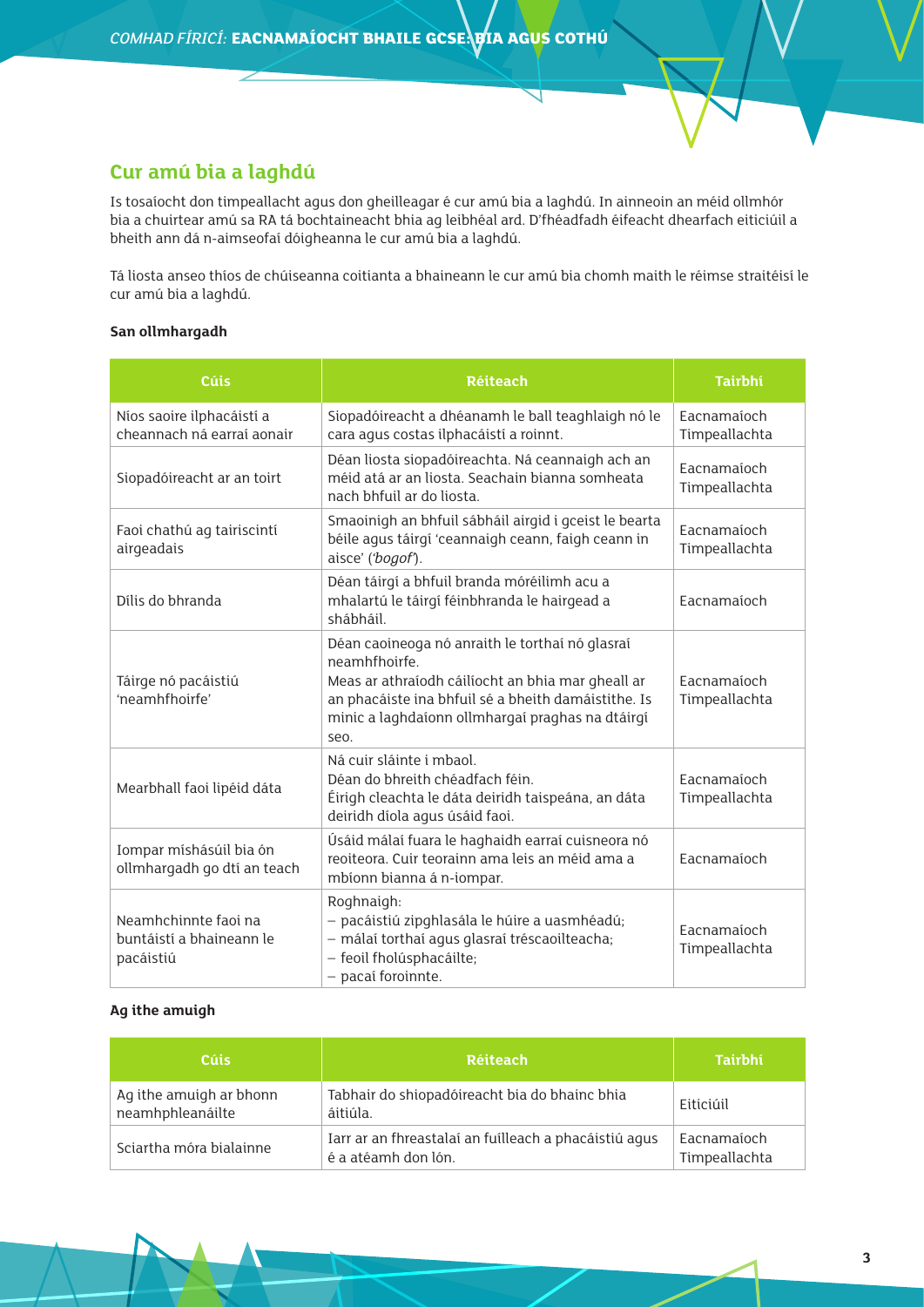# **Cur amú bia a laghdú**

Is tosaíocht don timpeallacht agus don gheilleagar é cur amú bia a laghdú. In ainneoin an méid ollmhór bia a chuirtear amú sa RA tá bochtaineacht bhia ag leibhéal ard. D'fhéadfadh éifeacht dhearfach eiticiúil a bheith ann dá n-aimseofaí dóigheanna le cur amú bia a laghdú.

Tá liosta anseo thíos de chúiseanna coitianta a bhaineann le cur amú bia chomh maith le réimse straitéisí le cur amú bia a laghdú.

#### **San ollmhargadh**

| <b>Cúis</b>                                                   | <b>Réiteach</b>                                                                                                                                                                                                                          | <b>Tairbhí</b>               |
|---------------------------------------------------------------|------------------------------------------------------------------------------------------------------------------------------------------------------------------------------------------------------------------------------------------|------------------------------|
| Níos saoire ilphacáistí a<br>cheannach ná earraí aonair       | Siopadóireacht a dhéanamh le ball teaghlaigh nó le<br>cara agus costas ilphacáistí a roinnt.                                                                                                                                             | Eacnamaíoch<br>Timpeallachta |
| Siopadóireacht ar an toirt                                    | Déan liosta siopadóireachta. Ná ceannaigh ach an<br>méid atá ar an liosta. Seachain bianna somheata<br>nach bhfuil ar do liosta.                                                                                                         | Eacnamaíoch<br>Timpeallachta |
| Faoi chathú ag tairiscintí<br>airgeadais                      | Smaoinigh an bhfuil sábháil airgid i gceist le bearta<br>béile agus táirgí 'ceannaigh ceann, faigh ceann in<br>aisce' ('bogof').                                                                                                         | Eacnamaíoch<br>Timpeallachta |
| Dílis do bhranda                                              | Déan táirgí a bhfuil branda móréilimh acu a<br>mhalartú le táirgí féinbhranda le hairgead a<br>shábháil.                                                                                                                                 | Eacnamaíoch                  |
| Táirge nó pacáistiú<br>'neamhfhoirfe'                         | Déan caoineoga nó anraith le torthaí nó glasraí<br>neamhfhoirfe.<br>Meas ar athraíodh cáilíocht an bhia mar gheall ar<br>an phacáiste ina bhfuil sé a bheith damáistithe. Is<br>minic a laghdaíonn ollmhargaí praghas na dtáirgí<br>seo. | Eacnamaíoch<br>Timpeallachta |
| Mearbhall faoi lipéid dáta                                    | Ná cuir sláinte i mbaol.<br>Déan do bhreith chéadfach féin.<br>Éirigh cleachta le dáta deiridh taispeána, an dáta<br>deiridh díola agus úsáid faoi.                                                                                      | Eacnamaíoch<br>Timpeallachta |
| Iompar míshásúil bia ón<br>ollmhargadh go dtí an teach        | Úsáid málaí fuara le haghaidh earraí cuisneora nó<br>reoiteora. Cuir teorainn ama leis an méid ama a<br>mbíonn bianna á n-iompar.                                                                                                        | Eacnamaíoch                  |
| Neamhchinnte faoi na<br>buntáistí a bhaineann le<br>pacáistiú | Roghnaigh:<br>- pacáistiú zipghlasála le húire a uasmhéadú;<br>- málaí torthaí agus glasraí tréscaoilteacha;<br>- feoil fholúsphacáilte;<br>- pacaí foroinnte.                                                                           | Eacnamaíoch<br>Timpeallachta |

#### **Ag ithe amuigh**

| Cúis                                        | <b>Réiteach</b>                                                              | <b>Tairbhí</b>               |
|---------------------------------------------|------------------------------------------------------------------------------|------------------------------|
| Ag ithe amuigh ar bhonn<br>neamhphleanáilte | Tabhair do shiopadóireacht bia do bhainc bhia<br>áitiúla.                    | Eiticiúil                    |
| Sciartha móra bialainne                     | Iarr ar an fhreastalaí an fuilleach a phacáistiú agus<br>é a atéamh don lón. | Eacnamaíoch<br>Timpeallachta |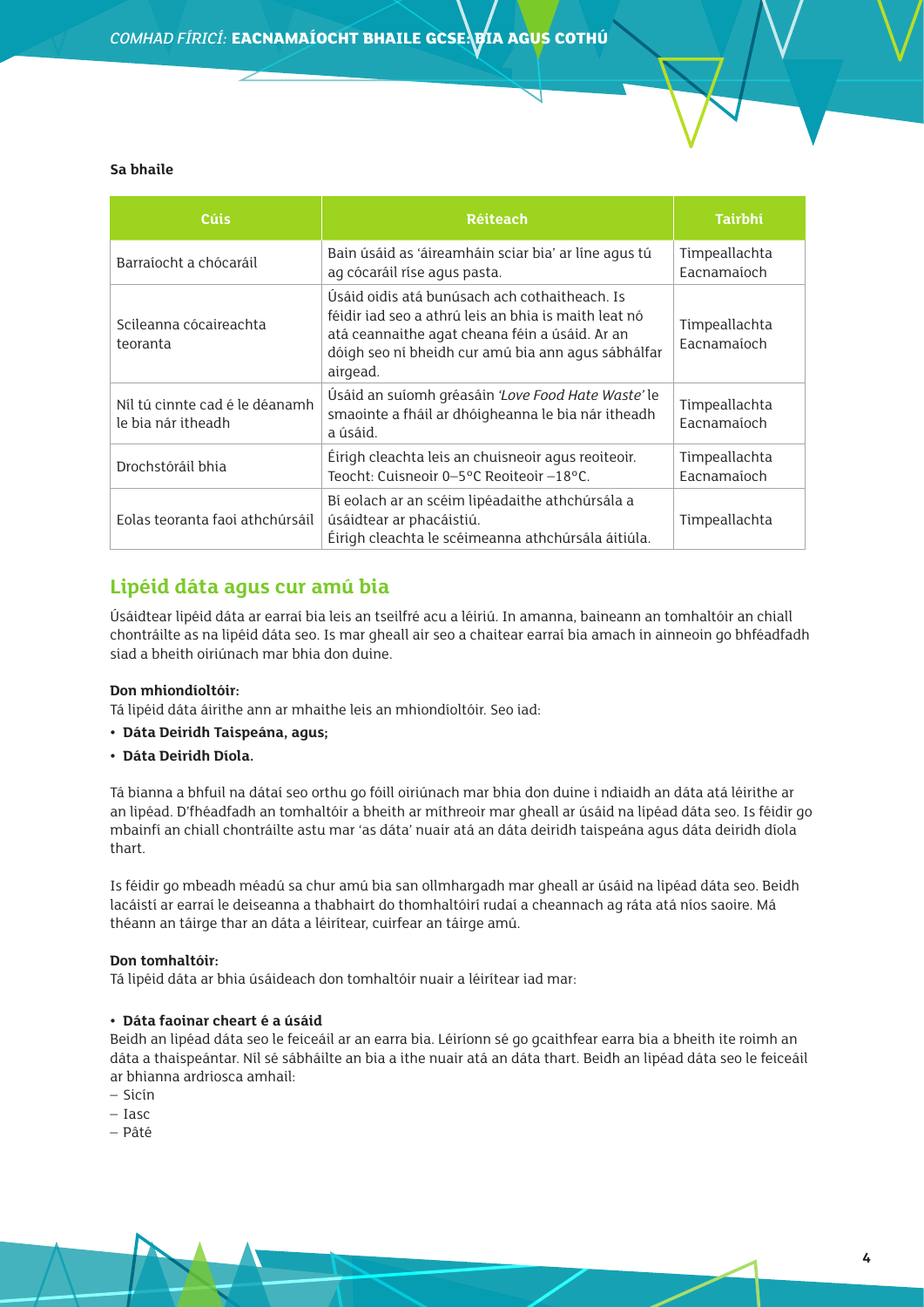#### **Sa bhaile**

| <b>Cúis</b>                                          | <b>Réiteach</b>                                                                                                                                                                                                           | <b>Tairbhí</b>               |
|------------------------------------------------------|---------------------------------------------------------------------------------------------------------------------------------------------------------------------------------------------------------------------------|------------------------------|
| Barraíocht a chócaráil                               | Bain úsáid as 'áireamháin sciar bia' ar líne agus tú<br>ag cócaráil ríse agus pasta.                                                                                                                                      | Timpeallachta<br>Eacnamaíoch |
| Scileanna cócaireachta<br>teoranta                   | Úsáid oidis atá bunúsach ach cothaitheach. Is<br>féidir iad seo a athrú leis an bhia is maith leat nó<br>atá ceannaithe agat cheana féin a úsáid. Ar an<br>dóigh seo ní bheidh cur amú bia ann agus sábhálfar<br>airgead. | Timpeallachta<br>Eacnamaíoch |
| Nil tú cinnte cad é le déanamh<br>le bia nár itheadh | Úsáid an suíomh gréasáin 'Love Food Hate Waste' le<br>smaointe a fháil ar dhóigheanna le bia nár itheadh<br>a úsáid.                                                                                                      | Timpeallachta<br>Eacnamaíoch |
| Drochstóráil bhia                                    | Éirigh cleachta leis an chuisneoir agus reoiteoir.<br>Teocht: Cuisneoir 0-5°C Reoiteoir -18°C.                                                                                                                            | Timpeallachta<br>Eacnamaíoch |
| Eolas teoranta faoi athchúrsáil                      | Bí eolach ar an scéim lipéadaithe athchúrsála a<br>úsáidtear ar phacáistiú.<br>Éirigh cleachta le scéimeanna athchúrsála áitiúla.                                                                                         | Timpeallachta                |

# **Lipéid dáta agus cur amú bia**

Úsáidtear lipéid dáta ar earraí bia leis an tseilfré acu a léiriú. In amanna, baineann an tomhaltóir an chiall chontráilte as na lipéid dáta seo. Is mar gheall air seo a chaitear earraí bia amach in ainneoin go bhféadfadh siad a bheith oiriúnach mar bhia don duine.

#### **Don mhiondíoltóir:**

Tá lipéid dáta áirithe ann ar mhaithe leis an mhiondíoltóir. Seo iad:

- **• Dáta Deiridh Taispeána, agus;**
- **• Dáta Deiridh Díola.**

Tá bianna a bhfuil na dátaí seo orthu go fóill oiriúnach mar bhia don duine i ndiaidh an dáta atá léirithe ar an lipéad. D'fhéadfadh an tomhaltóir a bheith ar míthreoir mar gheall ar úsáid na lipéad dáta seo. Is féidir go mbainfí an chiall chontráilte astu mar 'as dáta' nuair atá an dáta deiridh taispeána agus dáta deiridh díola thart.

Is féidir go mbeadh méadú sa chur amú bia san ollmhargadh mar gheall ar úsáid na lipéad dáta seo. Beidh lacáistí ar earraí le deiseanna a thabhairt do thomhaltóirí rudaí a cheannach ag ráta atá níos saoire. Má théann an táirge thar an dáta a léirítear, cuirfear an táirge amú.

#### **Don tomhaltóir:**

Tá lipéid dáta ar bhia úsáideach don tomhaltóir nuair a léirítear iad mar:

#### **• Dáta faoinar cheart é a úsáid**

Beidh an lipéad dáta seo le feiceáil ar an earra bia. Léiríonn sé go gcaithfear earra bia a bheith ite roimh an dáta a thaispeántar. Níl sé sábháilte an bia a ithe nuair atá an dáta thart. Beidh an lipéad dáta seo le feiceáil ar bhianna ardriosca amhail:

- Sicín
- Iasc
- Pâté